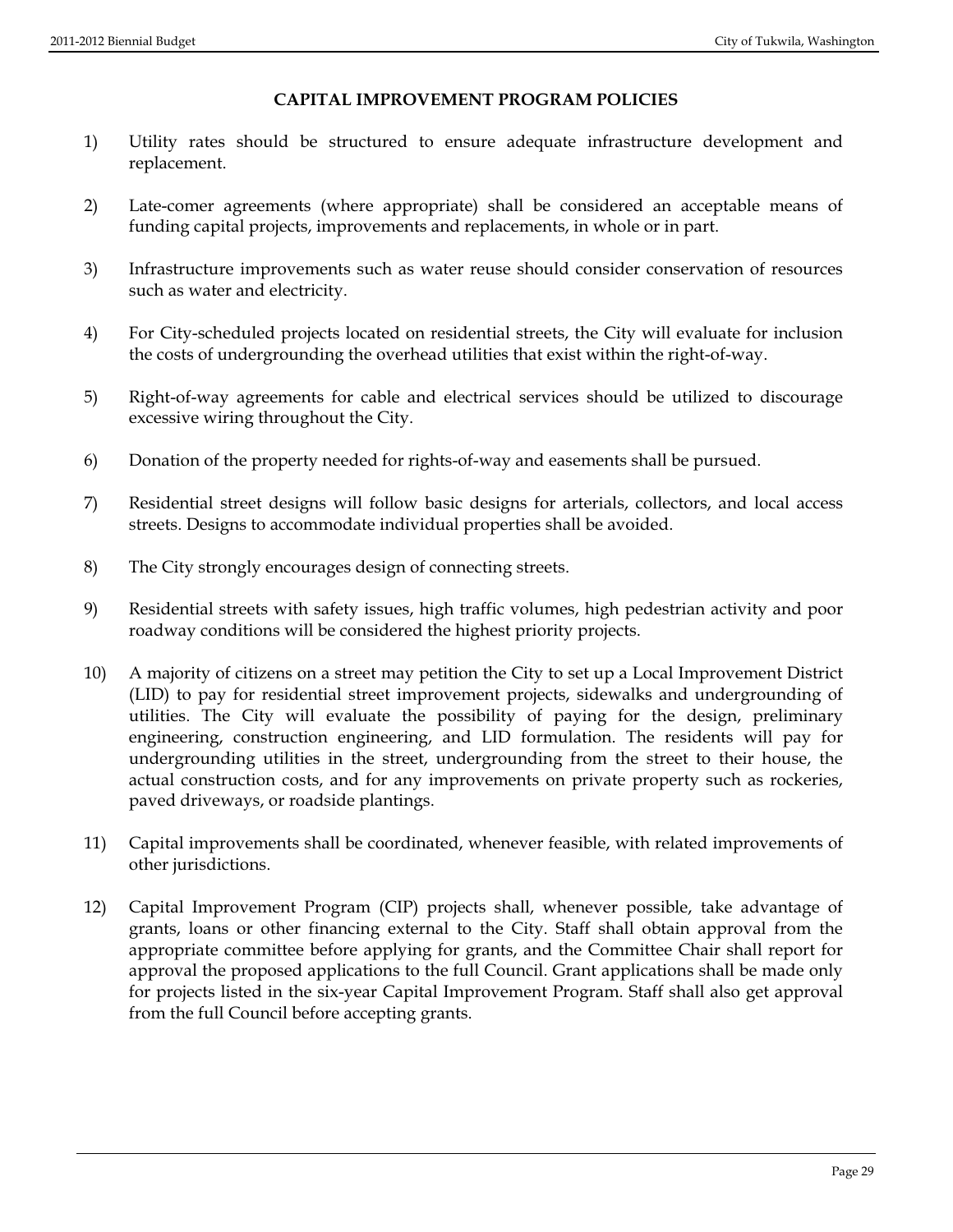## **CAPITAL IMPROVEMENT PROGRAM POLICIES**

- 1) Utility rates should be structured to ensure adequate infrastructure development and replacement.
- 2) Late-comer agreements (where appropriate) shall be considered an acceptable means of funding capital projects, improvements and replacements, in whole or in part.
- 3) Infrastructure improvements such as water reuse should consider conservation of resources such as water and electricity.
- 4) For City-scheduled projects located on residential streets, the City will evaluate for inclusion the costs of undergrounding the overhead utilities that exist within the right-of-way.
- 5) Right-of-way agreements for cable and electrical services should be utilized to discourage excessive wiring throughout the City.
- 6) Donation of the property needed for rights-of-way and easements shall be pursued.
- 7) Residential street designs will follow basic designs for arterials, collectors, and local access streets. Designs to accommodate individual properties shall be avoided.
- 8) The City strongly encourages design of connecting streets.
- 9) Residential streets with safety issues, high traffic volumes, high pedestrian activity and poor roadway conditions will be considered the highest priority projects.
- 10) A majority of citizens on a street may petition the City to set up a Local Improvement District (LID) to pay for residential street improvement projects, sidewalks and undergrounding of utilities. The City will evaluate the possibility of paying for the design, preliminary engineering, construction engineering, and LID formulation. The residents will pay for undergrounding utilities in the street, undergrounding from the street to their house, the actual construction costs, and for any improvements on private property such as rockeries, paved driveways, or roadside plantings.
- 11) Capital improvements shall be coordinated, whenever feasible, with related improvements of other jurisdictions.
- 12) Capital Improvement Program (CIP) projects shall, whenever possible, take advantage of grants, loans or other financing external to the City. Staff shall obtain approval from the appropriate committee before applying for grants, and the Committee Chair shall report for approval the proposed applications to the full Council. Grant applications shall be made only for projects listed in the six-year Capital Improvement Program. Staff shall also get approval from the full Council before accepting grants.